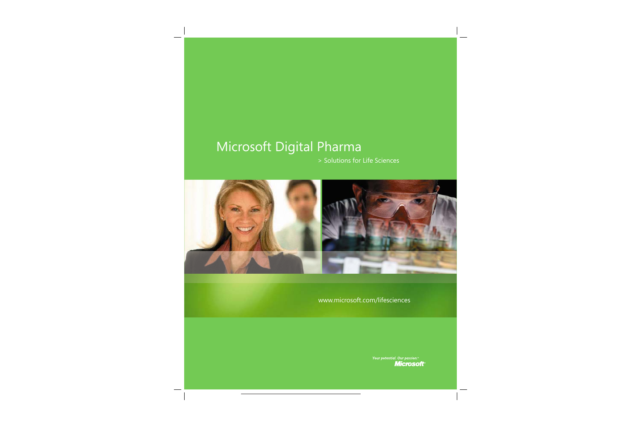# Microsoft Digital Pharma

> Solutions for Life Sciences



www.microsoft.com/lifesciences

Your potential. Our passion.<sup>14</sup> **Microsoft**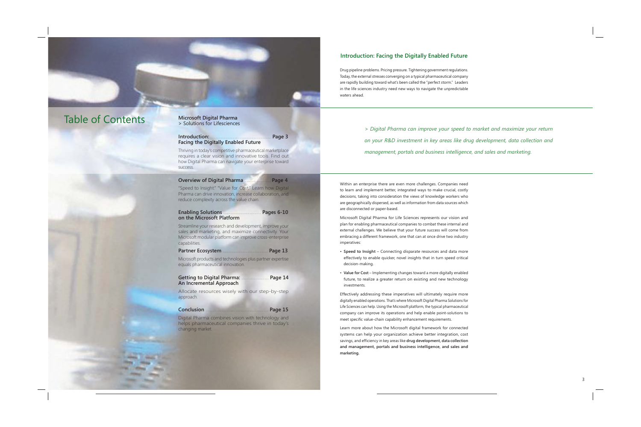# **Introduction: Facing the Digitally Enabled Future**

Drug pipeline problems. Pricing pressure. Tightening government regulations. Today, the external stresses converging on a typical pharmaceutical company are rapidly building toward what's been called the "perfect storm." Leaders in the life sciences industry need new ways to navigate the unpredictable waters ahead.

# **Table of Contents**

# **Microsoft Digital Pharma** > Solutions for Lifesciences

#### Introduction: Page 3 **Facing the Digitally Enabled Future**

Thriving in today's competitive pharmaceutical marketplace requires a clear vision and innovative tools. Find out how Digital Pharma can navigate your enterprise toward success.

#### **Overview of Digital Pharma** Page 4

"Speed to Insight." "Value for Cost." Learn how Digital Pharma can drive innovation, increase collaboration, and reduce complexity across the value chain.

#### **Enabling Solutions** Pages 6-10 on the Microsoft Platform

Streamline your research and development, improve your sales and marketing, and maximize connectivity. Your Microsoft modular platform can improve cross-enterprise capabilities.

#### **Partner Ecosystem** Page 13

Microsoft products and technologies plus partner expertise equals pharmaceutical innovation.

#### **Getting to Digital Pharma:** Page 14 An Incremental Approach

Allocate resources wisely with our step-by-step approach.

#### Conclusion Page 15

Digital Pharma combines vision with technology and helps pharmaceutical companies thrive in today's changing market.

> Digital Pharma can improve your speed to market and maximize your return on your R&D investment in key areas like drua development, data collection and management, portals and business intelligence, and sales and marketing.

Within an enterprise there are even more challenges. Companies need to learn and implement better, integrated ways to make crucial, costly decisions, taking into consideration the views of knowledge workers who are geographically dispersed, as well as information from data sources which are disconnected or paper-based.

Microsoft Digital Pharma for Life Sciences represents our vision and plan for enabling pharmaceutical companies to combat these internal and external challenges. We believe that your future success will come from embracing a different framework, one that can at once drive two industry imperatives:

- Speed to Insight Connecting disparate resources and data more effectively to enable quicker, novel insights that in turn speed critical decision-making.
- Value for Cost Implementing changes toward a more digitally enabled future, to realize a greater return on existing and new technology investments.

Effectively addressing these imperatives will ultimately require more digitally enabled operations. That's where Microsoft Digital Pharma Solutions for Life Sciences can help. Using the Microsoft platform, the typical pharmaceutical company can improve its operations and help enable point-solutions to meet specific value-chain capability enhancement requirements.

Learn more about how the Microsoft digital framework for connected systems can help your organization achieve better integration, cost savings, and efficiency in key areas like drug development, data collection and management, portals and business intelligence, and sales and marketing.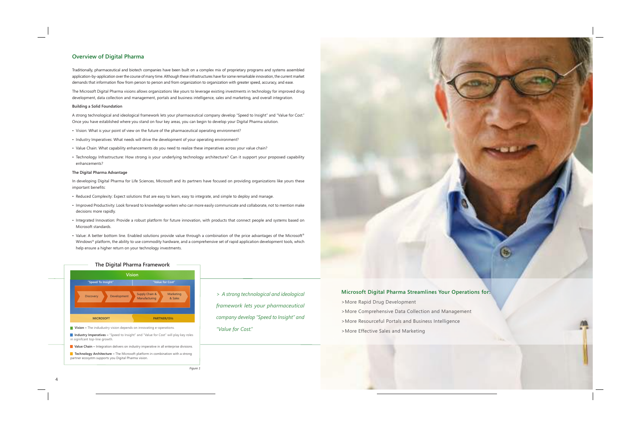# **Overview of Digital Pharma**

Traditionally, pharmaceutical and biotech companies have been built on a complex mix of proprietary programs and systems assembled application-by-application over the course of many time. Although these infrastructures have for some remarkable innovation, the current market demands that information flow from person to person and from organization to organization with greater speed, accuracy, and ease.

The Microsoft Digital Pharma visions allows organizations like yours to leverage existing investments in technology for improved drug development, data collection and management, portals and business intelligence, sales and marketing, and overall integration.

### **Building a Solid Foundation**

A strong technological and ideological framework lets your pharmaceutical company develop "Speed to Insight" and "Value for Cost." Once you have established where you stand on four key areas, you can begin to develop your Digital Pharma solution.

- Vision: What is your point of view on the future of the pharmaceutical operating environment?
- Industry Imperatives: What needs will drive the development of your operating environment?
- Value Chain: What capability enhancements do you need to realize these imperatives across your value chain?
- Technology Infrastructure: How strong is your underlying technology architecture? Can it support your proposed capability enhancements?

### The Digital Pharma Advantage

In developing Digital Pharma for Life Sciences, Microsoft and its partners have focused on providing organizations like yours these important benefits:

- Reduced Complexity: Expect solutions that are easy to learn, easy to integrate, and simple to deploy and manage.
- Improved Productivity: Look forward to knowledge workers who can more easily communicate and collaborate, not to mention make decisions more rapidly.
- Integrated Innovation: Provide a robust platform for future innovation, with products that connect people and systems based on Microsoft standards.
- Value: A better bottom line. Enabled solutions provide value through a combination of the price advantages of the Microsoft® Windows® platform, the ability to use commodity hardware, and a comprehensive set of rapid application development tools, which help ensure a higher return on your technology investments.



Vision - The indudustry vision depends on innovating e-operations.

I Industry Imperatives - "Speed to Insight" and "Value for Cost" will play key roles in signifcant top-line growth.

Value Chain - Integration delivers on industry imperative in all enterprise divisions.

**Technology Architecture** – The Microsoft platform in combination with a strong partner ecosystm supports you Digital Pharma vision.

> A strong technological and ideological framework lets your pharmaceutical company develop "Speed to Insight" and "Value for Cost."



# **Microsoft Digital Pharma Streamlines Your Operations for:**

>More Rapid Drug Development >More Comprehensive Data Collection and Management >More Resourceful Portals and Business Intelligence >More Effective Sales and Marketing

Figure 1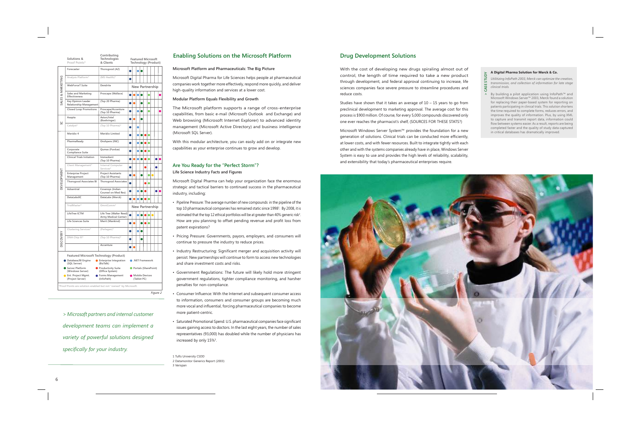|                   | Solutions &<br>Proof Points*                                     | Contributing<br>Technologies<br>& Clients       |                                      | <b>Featured Microsoft</b><br>Technology (Product) |  |  |  |           |  |           |  |  |
|-------------------|------------------------------------------------------------------|-------------------------------------------------|--------------------------------------|---------------------------------------------------|--|--|--|-----------|--|-----------|--|--|
| SALES & MARKETING | Forecaster                                                       | Thorogood (AZ)                                  |                                      |                                                   |  |  |  |           |  |           |  |  |
|                   | Analysis Platform*                                               | (MS Health)*                                    | О                                    |                                                   |  |  |  |           |  |           |  |  |
|                   | <b>WebForceT Suite</b>                                           | Dendrite                                        | New Partnership                      |                                                   |  |  |  |           |  |           |  |  |
|                   | Sales and Marketing<br>Effectiveness                             | Proscape (Wallace)                              |                                      |                                                   |  |  |  |           |  |           |  |  |
|                   | <b>Key Opinion Leader</b><br>Relationship Management             | (Top 20 Pharma)                                 |                                      |                                                   |  |  |  | 0         |  |           |  |  |
|                   | <b>Closed Loop Promotions</b>                                    | Proscape/Accenture<br>(Top 10 Pharma)           |                                      |                                                   |  |  |  | Ο         |  |           |  |  |
| g                 | Axapta                                                           | Aston/Intel<br>(Boehringer)                     | O                                    |                                                   |  |  |  |           |  |           |  |  |
|                   | Catalyst*                                                        | (Top 10 Pharma)*                                |                                      |                                                   |  |  |  |           |  |           |  |  |
| DEVELOPMENT       | Meridio 4                                                        | Meridio Limited                                 |                                      |                                                   |  |  |  | $\bullet$ |  |           |  |  |
|                   | PharmaReady                                                      | Onshpere (INC)                                  | o                                    |                                                   |  |  |  | O         |  |           |  |  |
|                   | Corporate<br>Compliance Suite                                    | Qumas (Purdue)                                  | O                                    |                                                   |  |  |  | $\bullet$ |  |           |  |  |
|                   | <b>Clinical Trials Initiation</b>                                | Immediant<br>(Top 10 Pharma)                    |                                      | n                                                 |  |  |  | Ο         |  |           |  |  |
|                   | Client Management*                                               | Internal Computer<br>Services*                  | ۰                                    |                                                   |  |  |  |           |  | $\bullet$ |  |  |
|                   | <b>Enterprise Project</b><br>Management                          | <b>Project Assistants</b><br>(Top 10 Pharma)    |                                      |                                                   |  |  |  | $\bullet$ |  |           |  |  |
|                   | <b>Thorogood Associates BI</b>                                   | <b>Thorogood Associates</b>                     | Ó                                    |                                                   |  |  |  | $\bullet$ |  |           |  |  |
|                   | Advantrial                                                       | Covansys (Indian<br>Counsel on Med Res)         |                                      |                                                   |  |  |  |           |  | Ο         |  |  |
|                   | DataLabsXC                                                       | DataLabs (Merck)                                | 0                                    |                                                   |  |  |  |           |  |           |  |  |
|                   | TrialMaster*                                                     | OmniComm <sup>*</sup>                           | <b>New Partnership</b>               |                                                   |  |  |  |           |  |           |  |  |
|                   | LifeTree ICTM                                                    | Life Tree (Walter Reed)<br>Army Medical Center) |                                      |                                                   |  |  |  |           |  |           |  |  |
|                   | Life Sciences Suite                                              | Merit (Mankind)                                 | ۰                                    |                                                   |  |  |  | Ο         |  |           |  |  |
| <b>DISCOVERY</b>  | Clustering Services*                                             | (Perlegen)*                                     |                                      |                                                   |  |  |  |           |  |           |  |  |
|                   | DNA Chip III*                                                    | (Top 10 Pharma)*                                | O                                    |                                                   |  |  |  |           |  |           |  |  |
|                   |                                                                  | Accenture                                       |                                      |                                                   |  |  |  |           |  |           |  |  |
|                   | Featured Microsoft Technology (Product)                          |                                                 |                                      |                                                   |  |  |  |           |  |           |  |  |
|                   | Database/BI Engine<br>(SQL Server)                               | <b>C</b> Enterprise Integration<br>(BizTalk)    | ● .NET Framework                     |                                                   |  |  |  |           |  |           |  |  |
|                   | Server Platform<br>(Windows Server)                              | Productivity Suite<br>(Office System)           | Portals (SharePoint)                 |                                                   |  |  |  |           |  |           |  |  |
|                   | <b>C</b> Ent. Project Mgmt.<br>(Project Server)                  | ● Forms Management<br>(InfoPath)                | <b>Mobile Devices</b><br>(Tablet PC) |                                                   |  |  |  |           |  |           |  |  |
|                   | *Proof Points are solution enabled but not "owned" by Microsoft. |                                                 |                                      |                                                   |  |  |  |           |  |           |  |  |

*> Microsoft partners and internal customerdevelopment teams can implement avariety of powerful solutions designedspecifi cally for your industry.*

*Figure 2*

# **Enabling Solutions on the Microsoft Platform**

# Microsoft Platform and Pharmaceuticals: The Big Picture

Microsoft Digital Pharma for Life Sciences helps people at pharmaceutical companies work together more effectively, respond more quickly, and <sup>d</sup>eliver high-quality information and services at a lower cost.

# Modular Platform Equals Flexibility and Growth

The Microsoft platform supports a range of cross-enterprise capabilities, from basic e-mail (Microsoft Outlook and <sup>E</sup>xchange) an<sup>d</sup> Web <sup>b</sup>rowsing (Microsoft Internet Explorer) to advanced identit<sup>y</sup> management (Microsoft Active Directory) and <sup>b</sup>usiness intelligence (Microsoft SQL Server).

With this modular architecture, you can easily add on or integrate new capabilities as your enterprise continues to grow and <sup>d</sup><sup>e</sup>velop.

# **Are You <sup>R</sup>eady <sup>f</sup><sup>o</sup>r the "<sup>P</sup>erfect Storm"?Life Science Industry <sup>F</sup>acts and Figures**

Microsoft Digital Pharma can help <sup>y</sup>our organization face the enormous strategic and tactical barriers to continued success in the pharmaceutical industry, including:

- Pipeline Pressure: <sup>T</sup>he average number of new compounds in the pipeline of the top 10 pharmaceutical companies has remained static since 1998<sup>1</sup>. By 2008, it is estimated that the top 12 ethical portfolios will be at greater than 40% generic risk<sup>2</sup>. How are you planning to offset pending revenue and profit loss from patent expirations?
- Pricing Pressure: <sup>G</sup>overnments, <sup>p</sup>ayors, employers, and consumers will continue to pressure the industry to reduce prices.
- Industry Restructuring: Significant merger and acquisition activity will persist. New partnerships will continue to form to access new technologiesand share investment costs and risks.
- <sup>G</sup>overnment Regulations: <sup>T</sup>he future will likely hold more stringent government regulations, tighter compliance monitoring, and harsher penalties for non-compliance.
- Consumer Influence: With the Internet and subsequent consumer access to information, consumers and consumer groups are becoming muchmore vocal and influential, forcing pharmaceutical companies to become more patient-centric.
- Saturated Promotional Spend: U.S. pharmaceutical companies face significant issues gaining access to doctors. In the last eight years, the number of sales representatives (93,000) has doubled while the number of physicians has increased by only  $15\%$ <sup>3</sup>.

1 Tufts University <sup>C</sup>SDD 2 Datamonitor Generics Report (2003)3 <sup>V</sup>erispan

# **Drug Development Solutions**

With the cost of developing new drugs spiraling almost out of control, the length of time required to take a new product through d<sup>e</sup>velopment, and federal approval continuing to increase, life sciences companies face severe pressure to streamline procedures andreduce costs.

Studies have shown that it takes an average of 10 – 1<sup>5</sup> <sup>y</sup>ears to go from preclinical development to marketing approval. The average cost for this process is \$900 million. Of course, for every <sup>5</sup>,000 compounds discovered onlyone ever reaches the pharmacist's shelf, (SOURCES FOR <sup>T</sup>HESE STATS?)

Microsoft Windows Server System™ <sup>p</sup>rovides the foundation for a new generation of solutions. Clinical trials can be conducted more efficiently at lower costs, and with fewer resources. Built to integrate tightly with each other and with the systems companies already have in place, Windows Server System is easy to use and <sup>p</sup>rovides the high levels of reliability, scalability, and extensibility that today's pharmaceutical enterprises require.

### **A Digital Pharma Solution for Merck & Co.**

**>**

**ZLNDA CASE STUDY***Utilitizing InfoPath 2003, Merck can optimize the creation, transmission, and collection of information for late stage* CASE *clinical trials.* 

By building a pilot application using InfoPath™ an<mark>c</mark> Microsoft Windows Server™ <sup>2</sup>003, Merck found a solution for replacing their paper-based system for reporting on patients participating in clinical trials. This solution shortens the time required to co<sup>m</sup>plete forms, reduces errors, and improves the <sup>q</sup>uality of information. Plus, by using XML to capture and transmit report data, information couldflow between systems easier. As a result, reports are being completed faster and the quality of study <sup>d</sup>ata capture<sup>d</sup>in critical databases has dramatically improv<sup>e</sup>d.

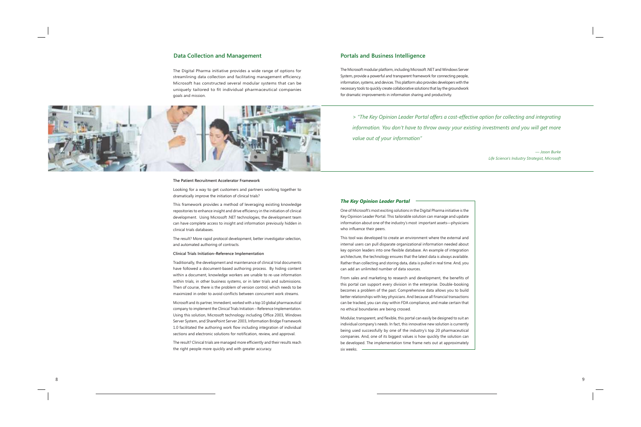## **DataCollection and Management**

The Digital Pharma initiative provides a wide range of options for streamlining data collection and facilitating management efficiency. Microsoft has constructed several modular systems that can be uniquely tailored to fit individual pharmaceutical companies goals and mission.



### The Patient Recruitment Accelerator Framework

Looking for a way to get customers and <sup>p</sup>artners working together to dramatically improve the initiation of clinical trials?

This framework <sup>p</sup>rovides a method of leveraging existing knowledge repositories to enhance insight and drive efficiency in the initiation of clinical d<sup>e</sup>velopment. Using Microsoft .NET technologies, the d<sup>e</sup>velopment team can have complete access to insight and information previously hidden in clinical trials databases.

The result? More rapid <sup>p</sup>rotocol d<sup>e</sup>velopment, <sup>b</sup>etter investigator selection, and automated authoring of contracts.

#### Clinical Trials Initiation-Reference Implementation

Traditionally, the development and maintenance of clinical trial documents have followed a document-based authoring process. By hiding content within a document, knowledge workers are unable to re-use information within trials, in other business systems, or in later trials and submissions. Then of course, there is the problem of version control, which needs to b<sup>e</sup>maximized in order to avoid conflicts between concurrent work streams.

Microsoft and its partner, Immedient, worked with a top 10 global pharmaceuticalcompany to implement the Clinical Trials Initiation – <sup>R</sup>eference Implementation. Using this solution, Microsoft technology including Office 2003, Windows Server System, and SharePoint Server 2003, Information Bridge Framework1.0 facilitated the authoring work flow including integration of individual sections and electronic solutions for notification, review, and approval.

The result? Clinical trials are managed more efficiently and their results reach the right people more quickly and with greater accuracy.

## **Portals and Business Intelligence**

The Microsoft modular platform, including Microsoft .NET and <sup>W</sup>indows Server System, provide a powerful and transparent framework for connecting people, information, systems, and <sup>d</sup><sup>e</sup>vices. This platform also provides d<sup>e</sup>velopers with the necessary tools to quickly create collaborative solutions that lay the groundworkfor dramatic improvements in information sharing and <sup>p</sup>roductivity.

> "The Key Opinion Leader Portal offers a cost-effective option for collecting and integrating *information. You don't have to throw away your existing investments and you will get more value out of your information"*

> *— <sup>J</sup>ason Burke Life Science's Industry Strategist, Microsoft*

### *The Key Opinion Leader Portal*

One of Microsoft's most exciting solutions in the Digital Pharma initiative is the Key <sup>O</sup>pinion Leader Portal. This tailorable solution can manage and update information about one of the industry's most important assets—physicianswho influence their peers.

This tool was developed to create an environment where the external and internal users can pull disparate organizational information needed about key opinion leaders into one flexible database. An example of integration architecture, the technology ensures that the latest data is always available. Rather than collecting and storing data, data is pulled in real time. And, you can add an unlimited number of data sources.

From sales and marketing to research and development, the benefits of this portal can support every <sup>d</sup>ivision in the enterprise. Double-booking becomes a problem of the past. Comprehensive data allows you to buildbetter relationships with key physicians. And because all financial transactions can be tracked, you can stay within FDA co<sup>m</sup>pliance, and make certain that no ethical boundaries are being crossed.

Modular, transparent, and fl<sup>e</sup>xible, this portal can easil<sup>y</sup> <sup>b</sup>e designed to suit an individual company's needs. In fact, this innovative new solution is currentlybeing used successfully by one of the industry's to<sup>p</sup> <sup>2</sup><sup>0</sup> <sup>p</sup>harmaceutical companies. And, one of its biggest values is how quickly the solution can be d<sup>e</sup>veloped. The implementation time frame nets out at approximatelysix weeks.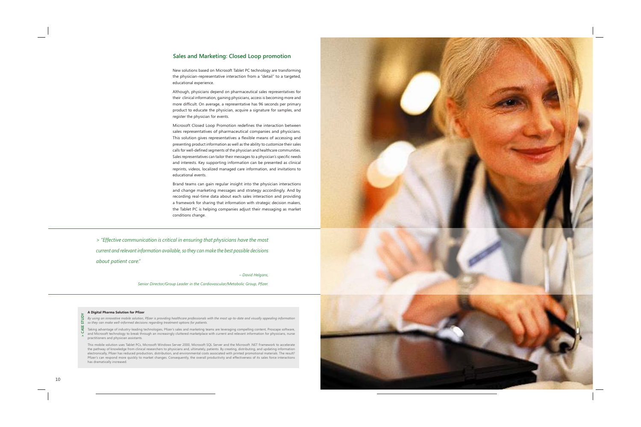# **Sales and Marketing: Closed Loop promotion**

New solutions based on Microsoft Tablet PC technology are transforming the physician-representative interaction from a "detail" to a targeted, educational experience.

Although, physicians depend on <sup>p</sup>harmaceutical sales representatives for their clinical information, gaining physicians, access is becoming more andmore difficult. On average, a representative has 96 seconds per primary product to educate the physician, acquire a signature for samples, andregister the physician for events.

Microsoft Closed Loop Promotion redefines the interaction between sales representatives of pharmaceutical companies and <sup>p</sup>hysicians. This solution gives representatives a flexible means of accessing and presenting product information as well as the ability to customize their salescalls for well-defined segments of the physician and healthcare communities. Sales representatives can tailor their messages to a physician's specific needs and interests. Key supporting information can be presented as clinical reprints, <sup>v</sup>ideos, localiz<sup>e</sup>d managed care information, and invitations to educational events.

Brand teams can gain regular insight into the physician interactions and change marketing messages and strategy accordingly. And by recording real-time data about each sales interaction and <sup>p</sup>roviding a framework for sharing that information with strategic decision makers, the Tablet PC is helping companies adjust their messaging as market conditions change.

*> "Effective communication is critical in ensuring that physicians have the mostcurrent and relevant information available, so they can make the best possible decisionsabout patient care."*

*– David Helgans,* 

*Senior Director/Group Leader in the Cardiovascular/Metabolic Group, Pfi zer.*

#### **A Digital Pharma Solution for Pfizer**

By using an innovative mobile solution, Pfizer is providing healthcare professionals with the most up-to-date and visually appealing information *so they can make well-informed decisions regarding treatment options for patients.* 

Taking advantage of industry-leading technologies, Pfizer's sales and marketing teams are leveraging compelling content, Proscape software, and Microsoft technology to <sup>b</sup>reak through an increasingly cluttered marketplace with current and relevant information for physicians, nurse practitioners and <sup>p</sup>hysician assistants. **CAS**

This mobile solution uses Tablet PCs, Microsoft Windows Server 2000, Microsoft SQL Server and the Microsoft .NET <sup>F</sup>ramework to accelerate the pathway of <sup>k</sup>nowledge from clinical researchers to physicians and, ultimately, <sup>p</sup>atients. By creating, distributing, and updating information electronically, Pfizer has reduced <sup>p</sup>roduction, <sup>d</sup>istribution, and environmental costs associated with printe<sup>d</sup> <sup>p</sup>romotional materials. The result? Pfizer's can respond more quickly to market changes. Consequently, the overall productivity and effectiveness of its sales force interactionshas dramatically increased.



**>**

**E S T U D Y**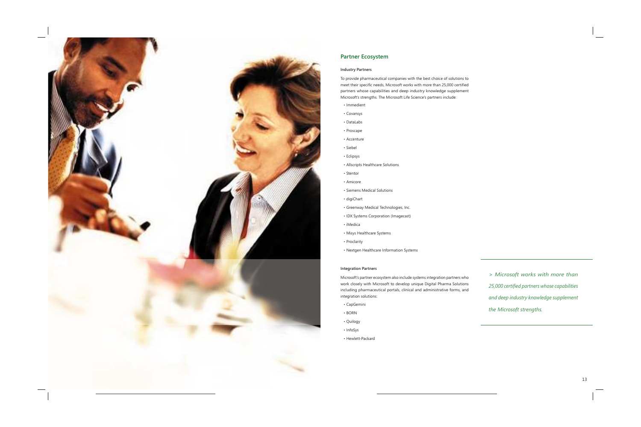

# **Partner Ecosystem**

## **Industry Partners**

To provide pharmaceutical companies with the best choice of solutions to meet their specific needs, Microsoft works with more than 25,000 certified partners whose capabilities and deep industry knowledge supplement Microsoft's strengths. The Microsoft Life Science's partners include:

- · Immedient
- Covansys
- DataLabs
- Proscape
- Accenture
- · Siebel
- Eclipsys
- Allscripts Healthcare Solutions
- Stentor
- Amicore
- Siemens Medical Solutions
- digiChart
- Greenway Medical Technologies, Inc.
- IDX Systems Corporation (Imagecast)
- $\cdot$  iMedica
- Misys Healthcare Systems
- Proclarity
- Nextgen Healthcare Information Systems

### **Integration Partners**

Microsoft's partner ecosystem also include systems integration partners who work closely with Microsoft to develop unique Digital Pharma Solutions including pharmaceutical portals, clinical and administrative forms, and integration solutions:

- CapGemini
- $\cdot$  BORN
- Quilogy
- InfoSys
- Hewlett-Packard

> Microsoft works with more than 25,000 certified partners whose capabilities and deep industry knowledge supplement the Microsoft strengths.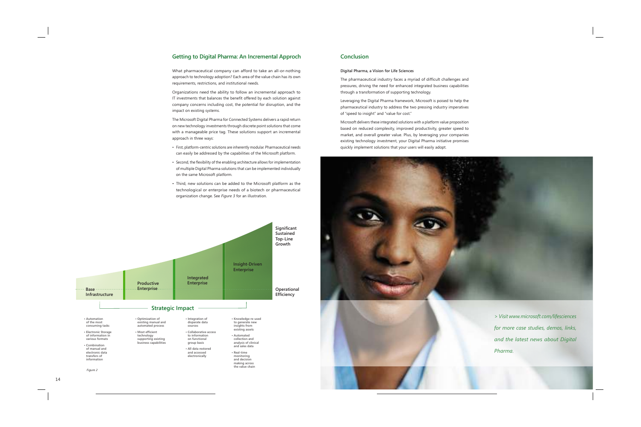# **Getting to Digital Pharma: An Incremental Approch**

What pharmaceutical company can afford to take an all-or-nothing approach to technology adoption? Each area of the value chain has its own requirements, restrictions, and institutional needs.

Organizations need the ability to follow an incremental approach to IT investments that balances the benefit offered by each solution against company concerns including cost, the potential for disruption, and the impact on existing systems.

The Microsoft Digital Pharma for Connected Systems delivers a rapid return on new technology investments through discrete point solutions that come with a manageable price tag. These solutions support an incremental approach in three ways:

- First, platform-centric solutions are inherently modular. Pharmaceutical needs can easily be addressed by the capabilities of the Microsoft platform.
- Second, the flexibility of the enabling architecture allows for implementation of multiple Digital Pharma solutions that can be implemented individually on the same Microsoft platform.
- Third, new solutions can be added to the Microsoft platform as the technological or enterprise needs of a biotech or pharmaceutical organization change. See Figure 3 for an illustration.



Figure 2

# **Conclusion**

### Digital Pharma, a Vision for Life Sciences

The pharmaceutical industry faces a myriad of difficult challenges and pressures, driving the need for enhanced integrated business capabilities through a transformation of supporting technology.

Leveraging the Digital Pharma framework, Microsoft is poised to help the pharmaceutical industry to address the two pressing industry imperatives of "speed to insight" and "value for cost."

Microsoft delivers these integrated solutions with a platform value proposition based on reduced complexity, improved productivity, greater speed to market, and overall greater value. Plus, by leveraging your companies existing technology investment, your Digital Pharma initiative promises quickly implement solutions that your users will easily adopt.





> Visit www.microsoft.com/lifesciences for more case studies, demos, links, and the latest news about Digital Pharma.